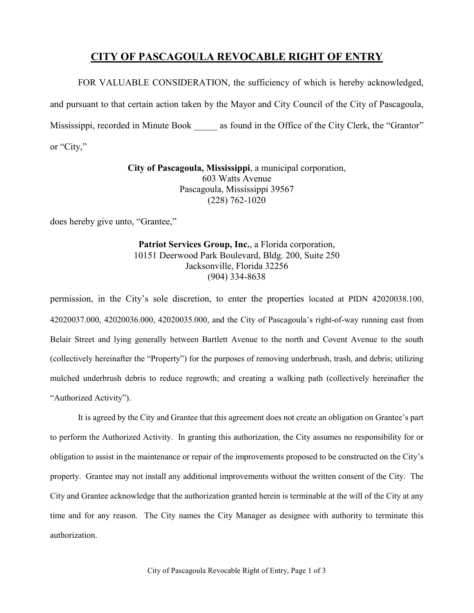## **CITY OF PASCAGOULA REVOCABLE RIGHT OF ENTRY**

FOR VALUABLE CONSIDERATION, the sufficiency of which is hereby acknowledged, and pursuant to that certain action taken by the Mayor and City Council of the City of Pascagoula, Mississippi, recorded in Minute Book as found in the Office of the City Clerk, the "Grantor" or "City,"

> **City of Pascagoula, Mississippi**, a municipal corporation, 603 Watts Avenue Pascagoula, Mississippi 39567 (228) 762-1020

does hereby give unto, "Grantee,"

**Patriot Services Group, Inc.**, a Florida corporation, 10151 Deerwood Park Boulevard, Bldg. 200, Suite 250 Jacksonville, Florida 32256 (904) 334-8638

permission, in the City's sole discretion, to enter the properties located at PIDN 42020038.100, 42020037.000, 42020036.000, 42020035.000, and the City of Pascagoula's right-of-way running east from Belair Street and lying generally between Bartlett Avenue to the north and Covent Avenue to the south (collectively hereinafter the "Property") for the purposes of removing underbrush, trash, and debris; utilizing mulched underbrush debris to reduce regrowth; and creating a walking path (collectively hereinafter the "Authorized Activity").

It is agreed by the City and Grantee that this agreement does not create an obligation on Grantee's part to perform the Authorized Activity. In granting this authorization, the City assumes no responsibility for or obligation to assist in the maintenance or repair of the improvements proposed to be constructed on the City's property. Grantee may not install any additional improvements without the written consent of the City. The City and Grantee acknowledge that the authorization granted herein is terminable at the will of the City at any time and for any reason. The City names the City Manager as designee with authority to terminate this authorization.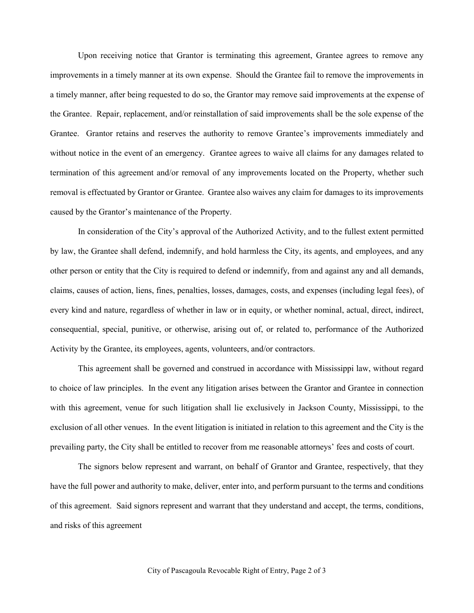Upon receiving notice that Grantor is terminating this agreement, Grantee agrees to remove any improvements in a timely manner at its own expense. Should the Grantee fail to remove the improvements in a timely manner, after being requested to do so, the Grantor may remove said improvements at the expense of the Grantee. Repair, replacement, and/or reinstallation of said improvements shall be the sole expense of the Grantee. Grantor retains and reserves the authority to remove Grantee's improvements immediately and without notice in the event of an emergency. Grantee agrees to waive all claims for any damages related to termination of this agreement and/or removal of any improvements located on the Property, whether such removal is effectuated by Grantor or Grantee. Grantee also waives any claim for damages to its improvements caused by the Grantor's maintenance of the Property.

In consideration of the City's approval of the Authorized Activity, and to the fullest extent permitted by law, the Grantee shall defend, indemnify, and hold harmless the City, its agents, and employees, and any other person or entity that the City is required to defend or indemnify, from and against any and all demands, claims, causes of action, liens, fines, penalties, losses, damages, costs, and expenses (including legal fees), of every kind and nature, regardless of whether in law or in equity, or whether nominal, actual, direct, indirect, consequential, special, punitive, or otherwise, arising out of, or related to, performance of the Authorized Activity by the Grantee, its employees, agents, volunteers, and/or contractors.

This agreement shall be governed and construed in accordance with Mississippi law, without regard to choice of law principles. In the event any litigation arises between the Grantor and Grantee in connection with this agreement, venue for such litigation shall lie exclusively in Jackson County, Mississippi, to the exclusion of all other venues. In the event litigation is initiated in relation to this agreement and the City is the prevailing party, the City shall be entitled to recover from me reasonable attorneys' fees and costs of court.

The signors below represent and warrant, on behalf of Grantor and Grantee, respectively, that they have the full power and authority to make, deliver, enter into, and perform pursuant to the terms and conditions of this agreement. Said signors represent and warrant that they understand and accept, the terms, conditions, and risks of this agreement